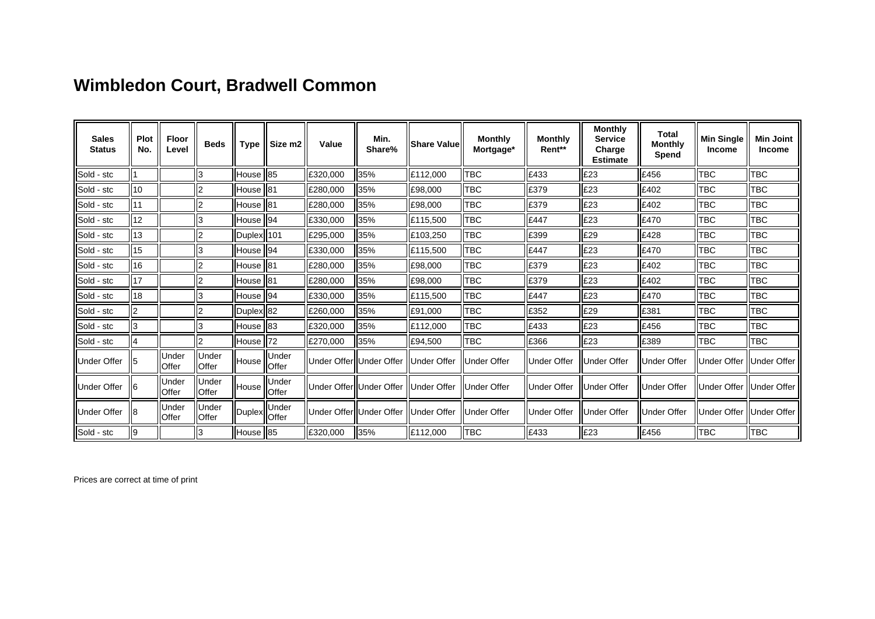## **Wimbledon Court, Bradwell Common**

| <b>Sales</b><br><b>Status</b> | Plot<br>No. | <b>Floor</b><br>Level         | <b>Beds</b>     | <b>Type</b>                       | Siize m2               | Value                    | Min.<br>Share% | Share Value         | <b>Monthly</b><br>Mortgage* | <b>Monthly</b><br>Rent** | <b>Monthly</b><br><b>Service</b><br>Charge<br><b>Estimate</b> | Total<br><b>Monthly</b><br>Spend | <b>Min Single</b><br><b>Income</b> | <b>Min Joint</b><br><b>Income</b> |
|-------------------------------|-------------|-------------------------------|-----------------|-----------------------------------|------------------------|--------------------------|----------------|---------------------|-----------------------------|--------------------------|---------------------------------------------------------------|----------------------------------|------------------------------------|-----------------------------------|
| Sold - stc                    |             |                               |                 | House II85                        |                        | £320,000                 | 35%            | E112,000            | твс                         | £433                     | £23                                                           | £456                             | <b>TBC</b>                         | TBC                               |
| Sold - stc                    | 10          |                               |                 | lHouse II81                       |                        | £280,000                 | 35%            | E98,000             | твс                         | £379                     | £23                                                           | I£402                            | <b>TBC</b>                         | твс                               |
| Sold - stc                    | 11          |                               |                 | House   81                        |                        | £280,000                 | 35%            | E98,000             | твс                         | £379                     | £23                                                           | £402                             | <b>TBC</b>                         | TBC                               |
| Sold - stc                    | 12          |                               |                 | House II94                        |                        | E330,000                 | 35%            | IE115,500           | твс                         | £447                     | £23                                                           | I£470                            | TBC                                | твс                               |
| Sold - stc                    | 13          |                               |                 | Duplex   101                      |                        | £295,000                 | 35%            | £103,250            | TBC                         | £399                     | £29                                                           | £428                             | <b>TBC</b>                         | TBC                               |
| Sold - stc                    | 15          |                               | l3              | House   94                        |                        | E330,000                 | 35%            | E115,500            | твс                         | £447                     | £23                                                           | E470                             | TBC                                | твс                               |
| Sold - stc                    | 16          |                               |                 | House   81                        |                        | £280,000                 | 35%            | £98,000             | TBC                         | £379                     | £23                                                           | £402                             | TBC                                | <b>TBC</b>                        |
| Sold - stc                    | 17          |                               |                 | House 181                         |                        | £280,000                 | 35%            | E98,000             | твс                         | £379                     | £23                                                           | £402                             | TBC                                | твс                               |
| Sold - stc                    | 18          |                               | l3              | House II94                        |                        | E330,000                 | 35%            | E115,500            | твс                         | £447                     | £23                                                           | I£470                            | TBC                                | твс                               |
| Sold - stc                    | l2          |                               |                 | Duplex 82                         |                        | £260,000                 | 35%            | E91,000             | твс                         | £352                     | £29                                                           | E381                             | <b>TBC</b>                         | твс                               |
| Sold - stc                    | Iз          |                               |                 | House   83                        |                        | E320,000                 | 35%            | IE112,000           | твс                         | £433                     | IE23                                                          | E456                             | Ітвс                               | твс                               |
| Sold - stc                    | 4           |                               |                 | House                             | $\parallel$ 72         | £270,000                 | 35%            | E94,500             | твс                         | £366                     | £23                                                           | E389                             | TBC                                | TBC                               |
| Under Offer                   |             | <b>Under</b><br><b>IOffer</b> | Under<br>lOffer | House                             | lUnder<br><b>Offer</b> | Under OfferIIUnder Offer |                | <b>IUnder Offer</b> | Under Offer                 | <b>Under Offer</b>       | llUnder Offer                                                 | llUnder Offer                    | Under Offer                        | IIUnder Offer                     |
| Under Offer                   |             | <b>Under</b><br><b>IOffer</b> | Under<br>lOffer | House                             | lUnder<br><b>Offer</b> | Under OfferIIUnder Offer |                | llUnder Offer       | Under Offer                 | <b>IU</b> nder Offer     | llUnder Offer                                                 | llUnder Offer                    | Under Offer                        | IIUnder Offer                     |
| Under Offer                   |             | <b>IUnder</b><br><b>Offer</b> | Under<br>lOffer | <sub>I</sub> Duplex <sup>or</sup> | Under                  | Under OfferIIUnder Offer |                | <b>IUnder Offer</b> | Under Offer                 | Under Offer              | llUnder Offer                                                 | llUnder Offer                    | Under Offer                        | <b>IIUnder Offer</b>              |
| Sold - stc                    | 19          |                               |                 | House   85                        |                        | £320,000                 | 35%            | E112,000            | твс                         | £433                     | £23                                                           | E456                             | Ітвс                               | твс                               |

Prices are correct at time of print